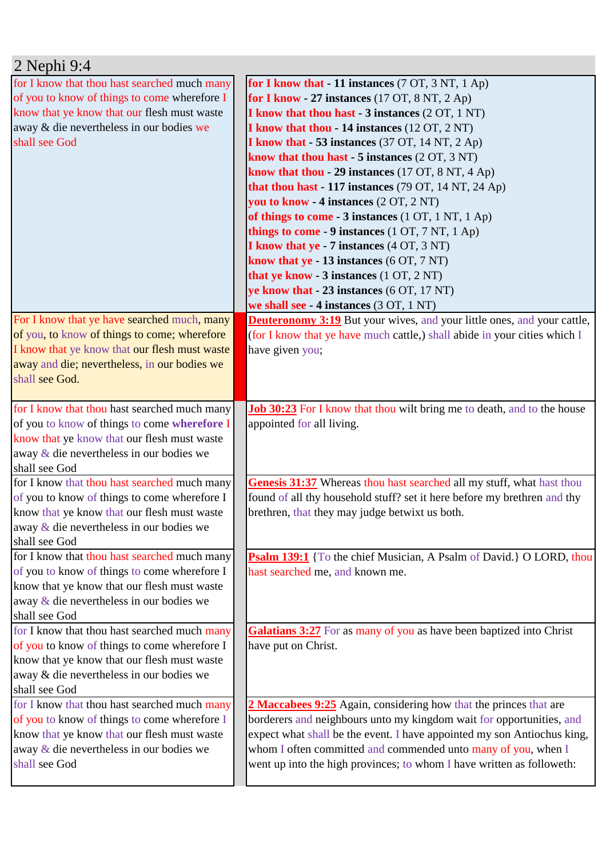| $2$ Nephi 9:4                                             |                                                                                                               |
|-----------------------------------------------------------|---------------------------------------------------------------------------------------------------------------|
| for I know that thou hast searched much many              | for I know that - 11 instances (7 OT, 3 NT, 1 Ap)                                                             |
| of you to know of things to come wherefore I              | for I know - 27 instances $(17 \text{ OT}, 8 \text{ NT}, 2 \text{ Ap})$                                       |
| know that ye know that our flesh must waste               | <b>I know that thou hast - 3 instances (2 OT, 1 NT)</b>                                                       |
| away & die nevertheless in our bodies we                  | I know that thou - 14 instances (12 OT, 2 NT)                                                                 |
| shall see God                                             | I know that $-53$ instances (37 OT, 14 NT, 2 Ap)                                                              |
|                                                           | know that thou hast $-5$ instances $(2 OT, 3 NT)$                                                             |
|                                                           | know that thou - 29 instances (17 OT, 8 NT, 4 Ap)                                                             |
|                                                           | that thou hast $-117$ instances (79 OT, 14 NT, 24 Ap)                                                         |
|                                                           | you to know - 4 instances (2 OT, 2 NT)                                                                        |
|                                                           | of things to come - 3 instances (1 OT, 1 NT, 1 Ap)                                                            |
|                                                           | things to come - 9 instances $(1 OT, 7 NT, 1 Ap)$                                                             |
|                                                           | <b>I know that ye - 7 instances (4 OT, 3 NT)</b>                                                              |
|                                                           | know that $ye - 13$ instances $(6 \text{ OT}, 7 \text{ NT})$                                                  |
|                                                           | that ye know - 3 instances (1 OT, 2 NT)                                                                       |
|                                                           | ye know that - 23 instances (6 OT, 17 NT)                                                                     |
|                                                           | we shall see - 4 instances (3 OT, 1 NT)                                                                       |
| For I know that ye have searched much, many               | <b>Deuteronomy 3:19</b> But your wives, and your little ones, and your cattle,                                |
| of you, to know of things to come; wherefore              | (for I know that ye have much cattle,) shall abide in your cities which I                                     |
| I know that ye know that our flesh must waste             | have given you;                                                                                               |
| away and die; nevertheless, in our bodies we              |                                                                                                               |
| shall see God.                                            |                                                                                                               |
|                                                           |                                                                                                               |
| for I know that thou hast searched much many              | <b>Job 30:23</b> For I know that thou wilt bring me to death, and to the house                                |
| of you to know of things to come wherefore I              | appointed for all living.                                                                                     |
| know that ye know that our flesh must waste               |                                                                                                               |
| away & die nevertheless in our bodies we                  |                                                                                                               |
| shall see God                                             |                                                                                                               |
| for I know that thou hast searched much many              | Genesis 31:37 Whereas thou hast searched all my stuff, what hast thou                                         |
| of you to know of things to come wherefore I              | found of all thy household stuff? set it here before my brethren and thy                                      |
| know that ye know that our flesh must waste               | brethren, that they may judge betwixt us both.                                                                |
| away & die nevertheless in our bodies we<br>shall see God |                                                                                                               |
| for I know that thou hast searched much many              |                                                                                                               |
| of you to know of things to come wherefore I              | <b>Psalm 139:1</b> {To the chief Musician, A Psalm of David.} O LORD, thou<br>hast searched me, and known me. |
| know that ye know that our flesh must waste               |                                                                                                               |
| away & die nevertheless in our bodies we                  |                                                                                                               |
| shall see God                                             |                                                                                                               |
| for I know that thou hast searched much many              | <b>Galatians 3:27</b> For as many of you as have been baptized into Christ                                    |
| of you to know of things to come wherefore I              | have put on Christ.                                                                                           |
| know that ye know that our flesh must waste               |                                                                                                               |
| away & die nevertheless in our bodies we                  |                                                                                                               |
| shall see God                                             |                                                                                                               |
| for I know that thou hast searched much many              | 2 Maccabees 9:25 Again, considering how that the princes that are                                             |
| of you to know of things to come wherefore I              | borderers and neighbours unto my kingdom wait for opportunities, and                                          |
| know that ye know that our flesh must waste               | expect what shall be the event. I have appointed my son Antiochus king,                                       |
|                                                           | whom I often committed and commended unto many of you, when I                                                 |
|                                                           |                                                                                                               |
| away & die nevertheless in our bodies we<br>shall see God | went up into the high provinces; to whom I have written as followeth:                                         |